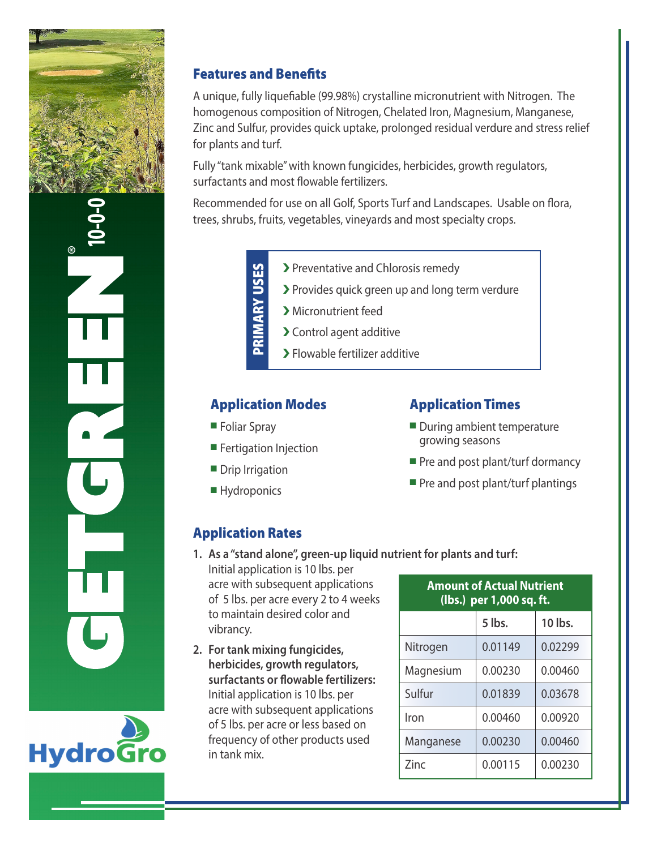



## Features and Benefits

A unique, fully liquefiable (99.98%) crystalline micronutrient with Nitrogen. The homogenous composition of Nitrogen, Chelated Iron, Magnesium, Manganese, Zinc and Sulfur, provides quick uptake, prolonged residual verdure and stress relief for plants and turf.

Fully "tank mixable" with known fungicides, herbicides, growth regulators, surfactants and most flowable fertilizers.

Recommended for use on all Golf, Sports Turf and Landscapes. Usable on flora, trees, shrubs, fruits, vegetables, vineyards and most specialty crops.

> > Preventative and Chlorosis remedy PRIMARY USES PRIMARY USES � Provides quick green up and long term verdure > Micronutrient feed > Control agent additive > Flowable fertilizer additive

### Application Modes

- **Foliar Spray**
- **Fertigation Injection**
- **Drip Irrigation**
- **Hydroponics**

## Application Times

- $\blacksquare$  During ambient temperature growing seasons
- Pre and post plant/turf dormancy
- $\blacksquare$  Pre and post plant/turf plantings

## Application Rates

- **1. As a "stand alone", green-up liquid nutrient for plants and turf:**
	- Initial application is 10 lbs. per acre with subsequent applications of 5 lbs. per acre every 2 to 4 weeks to maintain desired color and vibrancy.
- **2. For tank mixing fungicides, herbicides, growth regulators, surfactants or flowable fertilizers:** Initial application is 10 lbs. per acre with subsequent applications of 5 lbs. per acre or less based on frequency of other products used in tank mix.

| <b>Amount of Actual Nutrient</b><br>(lbs.) per 1,000 sq. ft. |         |         |
|--------------------------------------------------------------|---------|---------|
|                                                              | 5 lbs.  | 10 lbs. |
| Nitrogen                                                     | 0.01149 | 0.02299 |
| Magnesium                                                    | 0.00230 | 0.00460 |
| Sulfur                                                       | 0.01839 | 0.03678 |
| Iron                                                         | 0.00460 | 0.00920 |
| Manganese                                                    | 0.00230 | 0.00460 |
| Zinc                                                         | 0.00115 | 0.00230 |